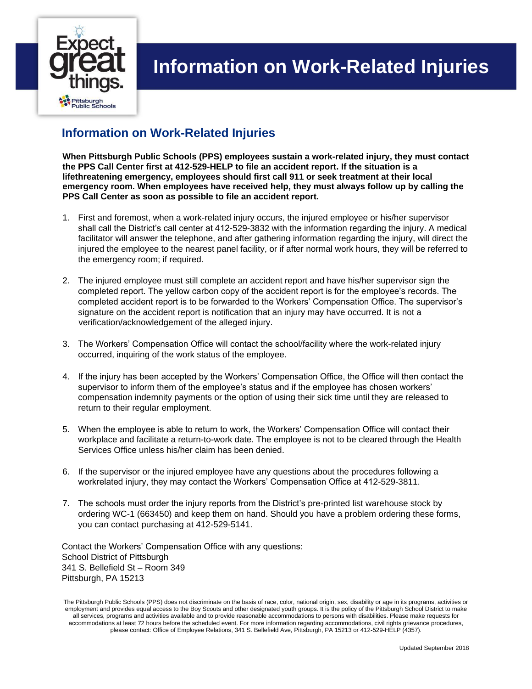

## **Information on Work-Related Injuries**

## **Information on Work-Related Injuries**

**When Pittsburgh Public Schools (PPS) employees sustain a work-related injury, they must contact the PPS Call Center first at 412-529-HELP to file an accident report. If the situation is a lifethreatening emergency, employees should first call 911 or seek treatment at their local emergency room. When employees have received help, they must always follow up by calling the PPS Call Center as soon as possible to file an accident report.** 

- 1. First and foremost, when a work-related injury occurs, the injured employee or his/her supervisor shall call the District's call center at 412-529-3832 with the information regarding the injury. A medical facilitator will answer the telephone, and after gathering information regarding the injury, will direct the injured the employee to the nearest panel facility, or if after normal work hours, they will be referred to the emergency room; if required.
- 2. The injured employee must still complete an accident report and have his/her supervisor sign the completed report. The yellow carbon copy of the accident report is for the employee's records. The completed accident report is to be forwarded to the Workers' Compensation Office. The supervisor's signature on the accident report is notification that an injury may have occurred. It is not a verification/acknowledgement of the alleged injury.
- 3. The Workers' Compensation Office will contact the school/facility where the work-related injury occurred, inquiring of the work status of the employee.
- 4. If the injury has been accepted by the Workers' Compensation Office, the Office will then contact the supervisor to inform them of the employee's status and if the employee has chosen workers' compensation indemnity payments or the option of using their sick time until they are released to return to their regular employment.
- 5. When the employee is able to return to work, the Workers' Compensation Office will contact their workplace and facilitate a return-to-work date. The employee is not to be cleared through the Health Services Office unless his/her claim has been denied.
- 6. If the supervisor or the injured employee have any questions about the procedures following a workrelated injury, they may contact the Workers' Compensation Office at 412-529-3811.
- 7. The schools must order the injury reports from the District's pre-printed list warehouse stock by ordering WC-1 (663450) and keep them on hand. Should you have a problem ordering these forms, you can contact purchasing at 412-529-5141.

Contact the Workers' Compensation Office with any questions: School District of Pittsburgh 341 S. Bellefield St – Room 349 Pittsburgh, PA 15213

The Pittsburgh Public Schools (PPS) does not discriminate on the basis of race, color, national origin, sex, disability or age in its programs, activities or employment and provides equal access to the Boy Scouts and other designated youth groups. It is the policy of the Pittsburgh School District to make all services, programs and activities available and to provide reasonable accommodations to persons with disabilities. Please make requests for accommodations at least 72 hours before the scheduled event. For more information regarding accommodations, civil rights grievance procedures, please contact: Office of Employee Relations, 341 S. Bellefield Ave, Pittsburgh, PA 15213 or 412-529-HELP (4357).